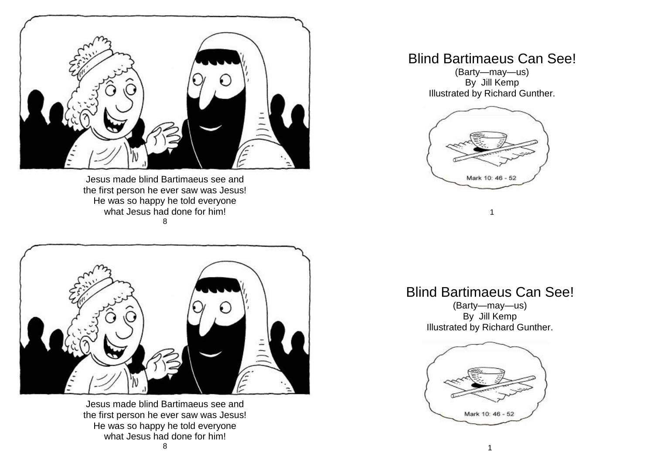

Jesus made blind Bartimaeus see and the first person he ever saw was Jesus! He was so happy he told everyone what Jesus had done for him! 8



Jesus made blind Bartimaeus see and the first person he ever saw was Jesus! He was so happy he told everyone what Jesus had done for him!

## Blind Bartimaeus Can See!

(Barty—may—us) By Jill Kemp Illustrated by Richard Gunther.



1

## Blind Bartimaeus Can See!

(Barty—may—us) By Jill Kemp Illustrated by Richard Gunther.

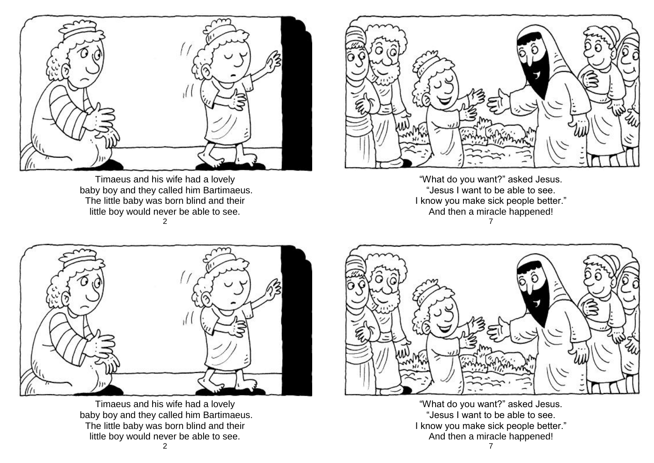

Timaeus and his wife had a lovely baby boy and they called him Bartimaeus. The little baby was born blind and their little boy would never be able to see. 2



"What do you want?" asked Jesus. "Jesus I want to be able to see. I know you make sick people better." And then a miracle happened! 7



Timaeus and his wife had a lovely baby boy and they called him Bartimaeus. The little baby was born blind and their little boy would never be able to see.



"What do you want?" asked Jesus. "Jesus I want to be able to see. I know you make sick people better." And then a miracle happened!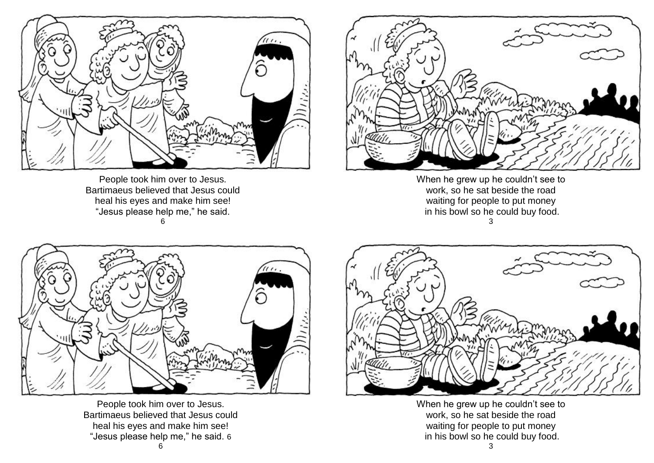

People took him over to Jesus. Bartimaeus believed that Jesus could heal his eyes and make him see! "Jesus please help me," he said. 6



When he grew up he couldn't see to work, so he sat beside the road waiting for people to put money in his bowl so he could buy food. 3



People took him over to Jesus. Bartimaeus believed that Jesus could heal his eyes and make him see! "Jesus please help me," he said. 6



When he grew up he couldn't see to work, so he sat beside the road waiting for people to put money in his bowl so he could buy food.